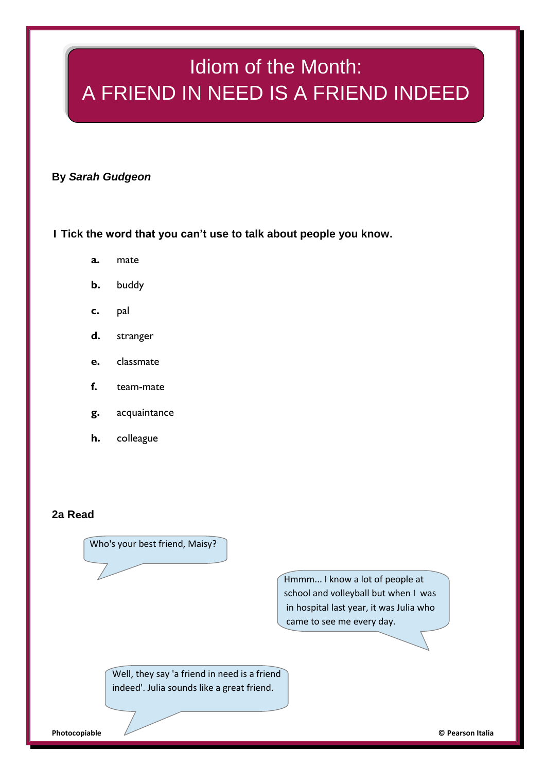# Idiom of the Month: A FRIEND IN NEED IS A FRIEND INDEED

## **By** *Sarah Gudgeon*

**1 Tick the word that you can't use to talk about people you know.**

- **a.** mate
- **b.** buddy
- **c.** pal
- **d.** stranger
- **e.** classmate
- **f.** team-mate
- **g.** acquaintance
- **h.** colleague

## **2a Read**

Who's your best friend, Maisy?

Hmmm... I know a lot of people at school and volleyball but when I was in hospital last year, it was Julia who came to see me every day.

Well, they say 'a friend in need is a friend indeed'. Julia sounds like a great friend.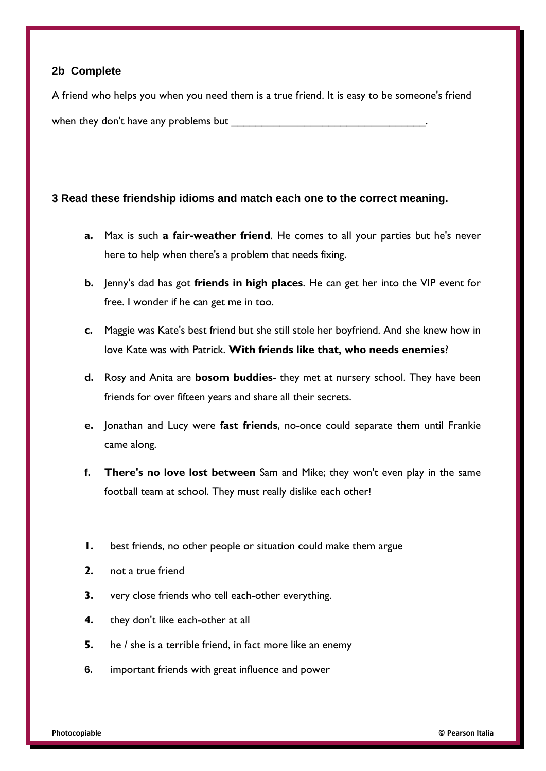## **2b Complete**

A friend who helps you when you need them is a true friend. It is easy to be someone's friend when they don't have any problems but

## **3 Read these friendship idioms and match each one to the correct meaning.**

- **a.** Max is such **a fair-weather friend**. He comes to all your parties but he's never here to help when there's a problem that needs fixing.
- **b.** Jenny's dad has got **friends in high places**. He can get her into the VIP event for free. I wonder if he can get me in too.
- **c.** Maggie was Kate's best friend but she still stole her boyfriend. And she knew how in love Kate was with Patrick. **With friends like that, who needs enemies**?
- **d.** Rosy and Anita are **bosom buddies** they met at nursery school. They have been friends for over fifteen years and share all their secrets.
- **e.** Jonathan and Lucy were **fast friends**, no-once could separate them until Frankie came along.
- **f. There's no love lost between** Sam and Mike; they won't even play in the same football team at school. They must really dislike each other!
- **1.** best friends, no other people or situation could make them argue
- **2.** not a true friend
- **3.** very close friends who tell each-other everything.
- **4.** they don't like each-other at all
- **5.** he / she is a terrible friend, in fact more like an enemy
- **6.** important friends with great influence and power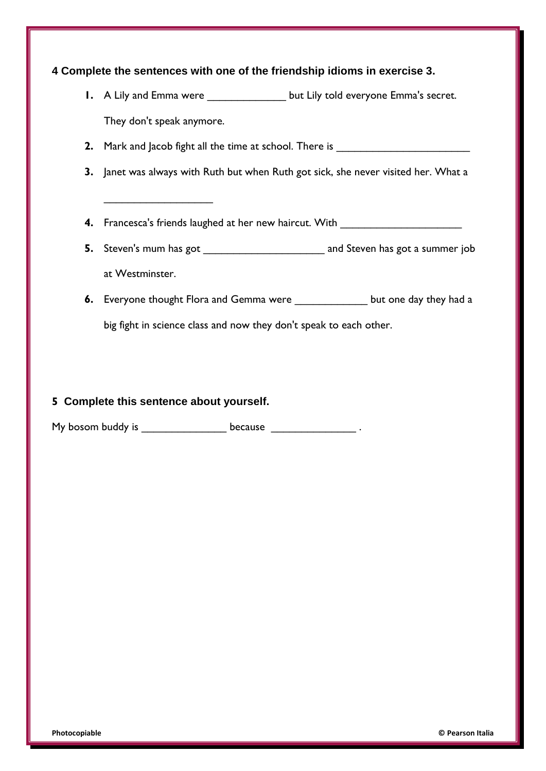## **4 Complete the sentences with one of the friendship idioms in exercise 3.**

- **1.** A Lily and Emma were \_\_\_\_\_\_\_\_\_\_\_\_\_\_ but Lily told everyone Emma's secret. They don't speak anymore.
- **2.** Mark and Jacob fight all the time at school. There is \_\_\_\_\_\_\_\_\_\_\_\_\_\_\_\_\_\_\_\_\_\_
- **3.** Janet was always with Ruth but when Ruth got sick, she never visited her. What a
- **4.** Francesca's friends laughed at her new haircut. With \_\_\_\_\_\_\_\_\_\_\_\_\_\_\_\_\_\_\_\_\_\_\_
- **5.** Steven's mum has got \_\_\_\_\_\_\_\_\_\_\_\_\_\_\_\_\_\_\_\_ and Steven has got a summer job at Westminster.
- **6.** Everyone thought Flora and Gemma were \_\_\_\_\_\_\_\_\_\_\_\_\_\_ but one day they had a big fight in science class and now they don't speak to each other.

#### **5 Complete this sentence about yourself.**

\_\_\_\_\_\_\_\_\_\_\_\_\_\_\_\_\_\_

My bosom buddy is \_\_\_\_\_\_\_\_\_\_\_\_\_\_\_\_\_\_\_ because \_\_\_\_\_\_\_\_\_\_\_\_\_\_\_\_\_\_\_\_\_\_.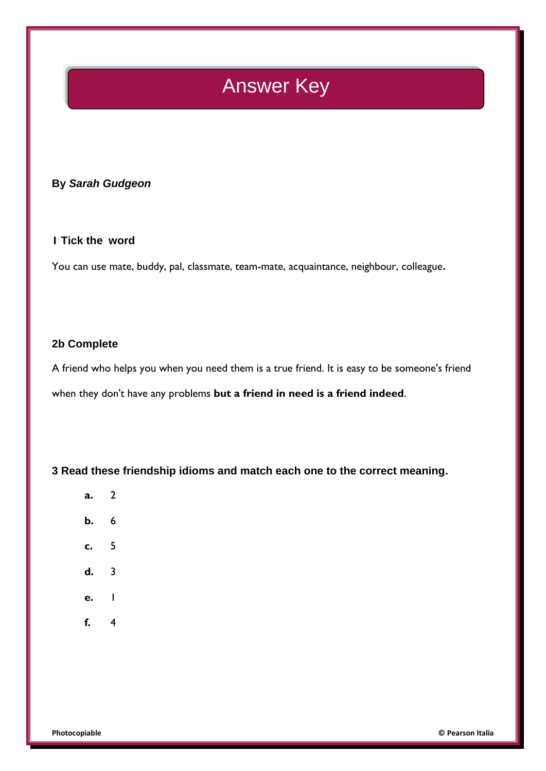## Answer Key

## **By** *Sarah Gudgeon*

## **1 Tick the word**

You can use mate, buddy, pal, classmate, team-mate, acquaintance, neighbour, colleague**.**

#### **2b Complete**

A friend who helps you when you need them is a true friend. It is easy to be someone's friend when they don't have any problems **but a friend in need is a friend indeed**.

**3 Read these friendship idioms and match each one to the correct meaning.**

- **a.** 2
- **b.** 6
- **c.** 5
- **d.** 3
- **e.** 1
- **f.** 4